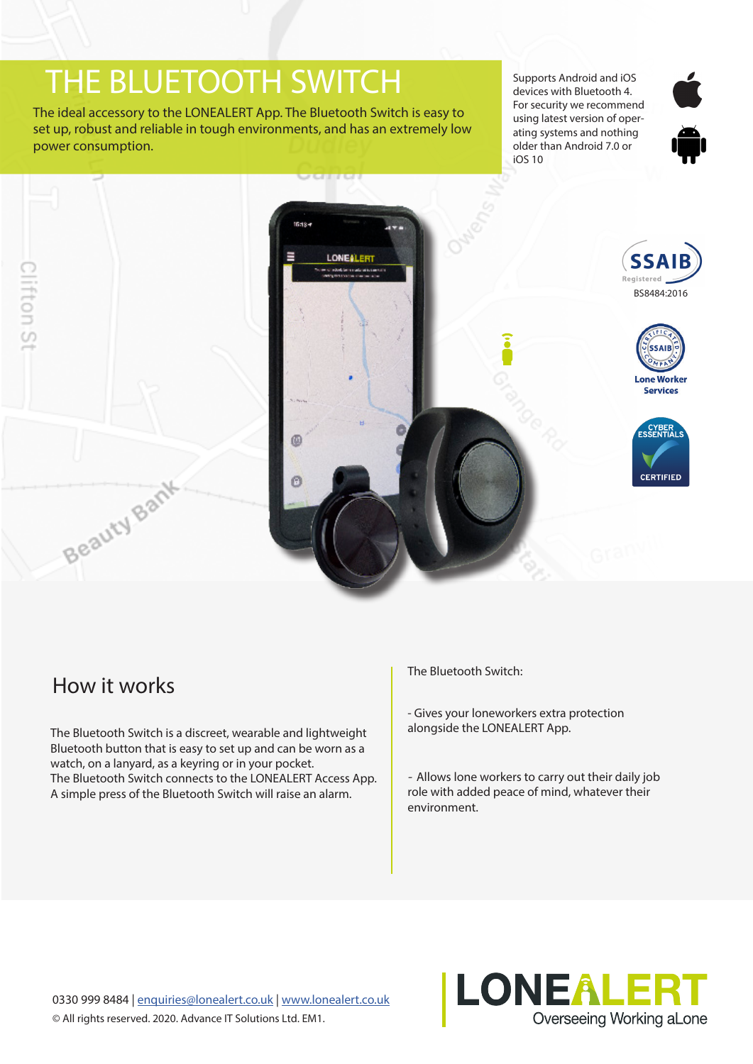# THE BLUETOOTH SWITCH

The ideal accessory to the LONEALERT App. The Bluetooth Switch is easy to set up, robust and reliable in tough environments, and has an extremely low power consumption.

Supports Android and iOS devices with Bluetooth 4. For security we recommend using latest version of operating systems and nothing older than Android 7.0 or iOS 10







# How it works

The Bluetooth Switch is a discreet, wearable and lightweight Bluetooth button that is easy to set up and can be worn as a watch, on a lanyard, as a keyring or in your pocket. The Bluetooth Switch connects to the LONEALERT Access App. A simple press of the Bluetooth Switch will raise an alarm.

The Bluetooth Switch:

- Gives your loneworkers extra protection alongside the LONEALERT App.

- Allows lone workers to carry out their daily job role with added peace of mind, whatever their environment.

0330 999 8484 | enquiries@lonealert.co.uk | www.lonealert.co.uk © All rights reserved. 2020. Advance IT Solutions Ltd. EM1.